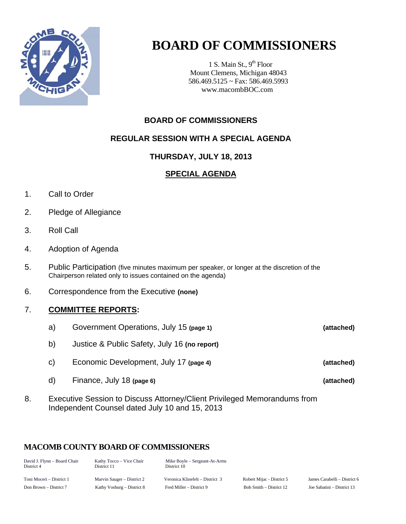

1 S. Main St.,  $9<sup>th</sup>$  Floor Mount Clemens, Michigan 48043 586.469.5125 ~ Fax: 586.469.5993 www.macombBOC.com

### **BOARD OF COMMISSIONERS**

### **REGULAR SESSION WITH A SPECIAL AGENDA**

### **THURSDAY, JULY 18, 2013**

### **SPECIAL AGENDA**

- 1. Call to Order
- 2. Pledge of Allegiance
- 3. Roll Call
- 4. Adoption of Agenda
- 5. Public Participation (five minutes maximum per speaker, or longer at the discretion of the Chairperson related only to issues contained on the agenda)
- 6. Correspondence from the Executive **(none)**

### 7. **COMMITTEE REPORTS:**

- a) Government Operations, July 15 **(page 1) (attached)**  b) Justice & Public Safety, July 16 **(no report)** c) Economic Development, July 17 **(page 4) (attached)** d) Finance, July 18 **(page 6) (attached)**
- 8. Executive Session to Discuss Attorney/Client Privileged Memorandums from Independent Counsel dated July 10 and 15, 2013

### **MACOMB COUNTY BOARD OF COMMISSIONERS**

| David J. Flynn - Board Chair<br>District 4 | Kathy Tocco – Vice Chair<br>District 11 | Mike Boyle – Sergeant-At-Arms<br>District 10 |                           |                              |
|--------------------------------------------|-----------------------------------------|----------------------------------------------|---------------------------|------------------------------|
| Toni Moceri – District 1                   | Marvin Sauger – District 2              | Veronica Klinefelt – District 3              | Robert Mijac - District 5 | James Carabelli – District 6 |
| Don Brown – District 7                     | Kathy Vosburg – District 8              | Fred Miller – District 9                     | Bob Smith – District 12   | Joe Sabatini – District 13   |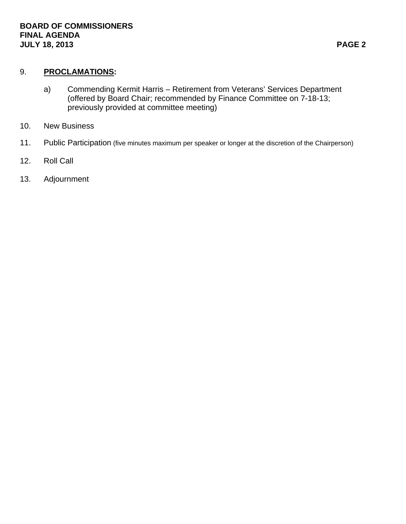### 9. **PROCLAMATIONS:**

- a) Commending Kermit Harris Retirement from Veterans' Services Department (offered by Board Chair; recommended by Finance Committee on 7-18-13; previously provided at committee meeting)
- 10. New Business
- 11. Public Participation (five minutes maximum per speaker or longer at the discretion of the Chairperson)
- 12. Roll Call
- 13. Adjournment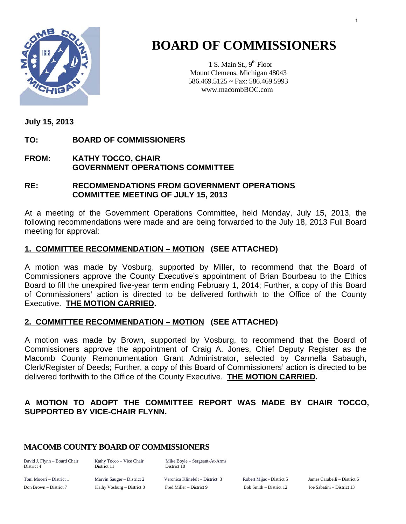

1 S. Main St.,  $9<sup>th</sup>$  Floor Mount Clemens, Michigan 48043 586.469.5125 ~ Fax: 586.469.5993 www.macombBOC.com

**July 15, 2013** 

**TO: BOARD OF COMMISSIONERS** 

### **FROM: KATHY TOCCO, CHAIR GOVERNMENT OPERATIONS COMMITTEE**

### **RE: RECOMMENDATIONS FROM GOVERNMENT OPERATIONS COMMITTEE MEETING OF JULY 15, 2013**

At a meeting of the Government Operations Committee, held Monday, July 15, 2013, the following recommendations were made and are being forwarded to the July 18, 2013 Full Board meeting for approval:

### **1. COMMITTEE RECOMMENDATION – MOTION (SEE ATTACHED)**

A motion was made by Vosburg, supported by Miller, to recommend that the Board of Commissioners approve the County Executive's appointment of Brian Bourbeau to the Ethics Board to fill the unexpired five-year term ending February 1, 2014; Further, a copy of this Board of Commissioners' action is directed to be delivered forthwith to the Office of the County Executive. **THE MOTION CARRIED.**

### **2. COMMITTEE RECOMMENDATION – MOTION (SEE ATTACHED)**

A motion was made by Brown, supported by Vosburg, to recommend that the Board of Commissioners approve the appointment of Craig A. Jones, Chief Deputy Register as the Macomb County Remonumentation Grant Administrator, selected by Carmella Sabaugh, Clerk/Register of Deeds; Further, a copy of this Board of Commissioners' action is directed to be delivered forthwith to the Office of the County Executive. **THE MOTION CARRIED.** 

### **A MOTION TO ADOPT THE COMMITTEE REPORT WAS MADE BY CHAIR TOCCO, SUPPORTED BY VICE-CHAIR FLYNN.**

### **MACOMB COUNTY BOARD OF COMMISSIONERS**

District 4 District 11 District 10

David J. Flynn – Board Chair Kathy Tocco – Vice Chair Mike Boyle – Sergeant-At-Arms

Toni Moceri – District 1 Marvin Sauger – District 2 Veronica Klinefelt – District 3 Robert Mijac - District 5 James Carabelli – District 6 Don Brown – District 7 Kathy Vosburg – District 8 Fred Miller – District 9 Bob Smith – District 12 Joe Sabatini – District 13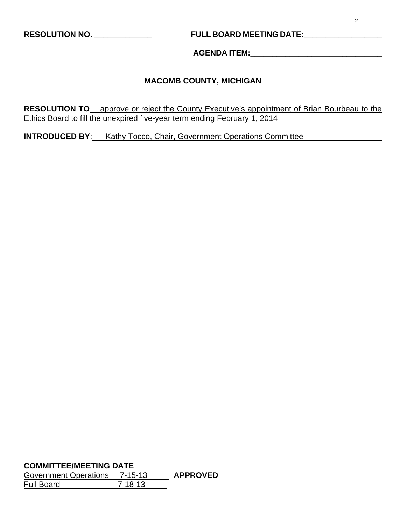### **RESOLUTION NO. \_\_\_\_\_\_\_\_\_\_\_\_\_ FULL BOARD MEETING DATE:\_\_\_\_\_\_\_\_\_\_\_\_\_\_\_\_\_\_**

**AGENDA ITEM:\_\_\_\_\_\_\_\_\_\_\_\_\_\_\_\_\_\_\_\_\_\_\_\_\_\_\_\_\_\_** 

#### **MACOMB COUNTY, MICHIGAN**

**RESOLUTION TO** approve or reject the County Executive's appointment of Brian Bourbeau to the Ethics Board to fill the unexpired five-year term ending February 1, 2014

**INTRODUCED BY:** Kathy Tocco, Chair, Government Operations Committee

**COMMITTEE/MEETING DATE**

Government Operations 7-15-13 **APPROVED**  Full Board 7-18-13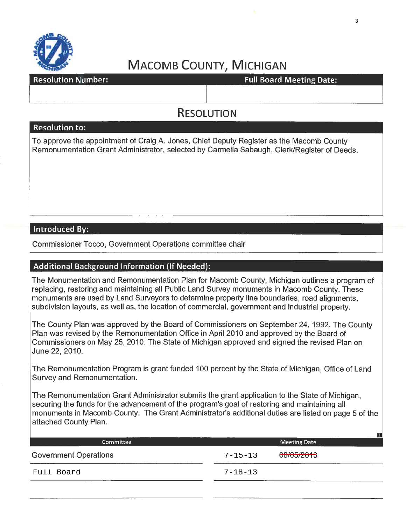

resource: https://www.article.io.com/windows/windows/windows/windows/windows/windows/windows/windows/windows/w

### **RESOLUTION**

#### **Resolution to:**

To approve the appointment of Craig A. Jones, Chief Deputy Register as the Macomb County Remonumentation Grant Administrator, selected by Carmella Sabaugh, Clerk/Register of Deeds.

### **Introduced By:**

Commissioner Tocco, Government Operations committee chair

### **Additional Background Information** (If **Needed):**

The Monumentation and Remonumentation Plan for Macomb County, Michigan outlines a program of replacing, restoring and maintaining all Public Land Survey monuments in Macomb County. These monuments are used by Land Surveyors to determine property line boundaries, road alignments, subdivision layouts, as well as, the location of commercial, government and industrial property.

The County Plan was approved by the Board of Commissioners on September 24, 1992. The County Plan was revised by the Remonumentation Office in April 2010 and approved by the Board of Commissioners on May 25, 2010. The State of Michigan approved and signed the revised Plan on June 22, 2010.

The Remonumentation Program is grant funded 100 percent by the State of Michigan, Office of Land Survey and Remonumentation.

The Remonumentation Grant Administrator submits the grant application to the State of Michigan, securing the funds for the advancement of the program's goal of restoring and maintaining all monuments in Macomb County. The Grant Administrator's additional duties are listed on page 5 of the attached County Plan.

| <b>Committee</b>             |               | <b>Meeting Date</b> | H |
|------------------------------|---------------|---------------------|---|
| <b>Government Operations</b> | $7 - 15 - 13$ | 08/05/2013          |   |
| Full Board                   | $7 - 18 - 13$ |                     |   |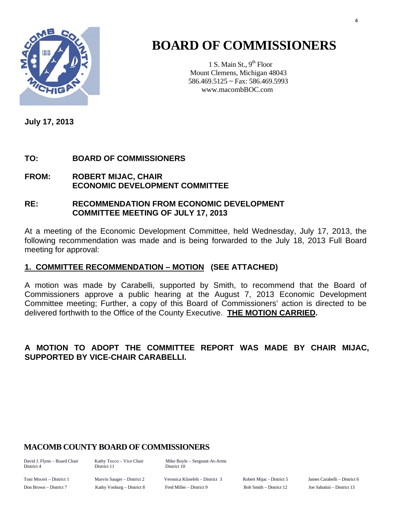

1 S. Main St.,  $9<sup>th</sup>$  Floor Mount Clemens, Michigan 48043 586.469.5125 ~ Fax: 586.469.5993 www.macombBOC.com

**July 17, 2013** 

### **TO: BOARD OF COMMISSIONERS**

### **FROM: ROBERT MIJAC, CHAIR ECONOMIC DEVELOPMENT COMMITTEE**

### **RE: RECOMMENDATION FROM ECONOMIC DEVELOPMENT COMMITTEE MEETING OF JULY 17, 2013**

At a meeting of the Economic Development Committee, held Wednesday, July 17, 2013, the following recommendation was made and is being forwarded to the July 18, 2013 Full Board meeting for approval:

### **1. COMMITTEE RECOMMENDATION – MOTION (SEE ATTACHED)**

A motion was made by Carabelli, supported by Smith, to recommend that the Board of Commissioners approve a public hearing at the August 7, 2013 Economic Development Committee meeting; Further, a copy of this Board of Commissioners' action is directed to be delivered forthwith to the Office of the County Executive. **THE MOTION CARRIED.**

### **A MOTION TO ADOPT THE COMMITTEE REPORT WAS MADE BY CHAIR MIJAC, SUPPORTED BY VICE-CHAIR CARABELLI.**

### **MACOMB COUNTY BOARD OF COMMISSIONERS**

District 4 District 11 District 10

David J. Flynn – Board Chair Kathy Tocco – Vice Chair Mike Boyle – Sergeant-At-Arms

Toni Moceri – District 1 Marvin Sauger – District 2 Veronica Klinefelt – District 3 Robert Mijac - District 5 James Carabelli – District 6 Don Brown – District 7 Kathy Vosburg – District 8 Fred Miller – District 9 Bob Smith – District 12 Joe Sabatini – District 13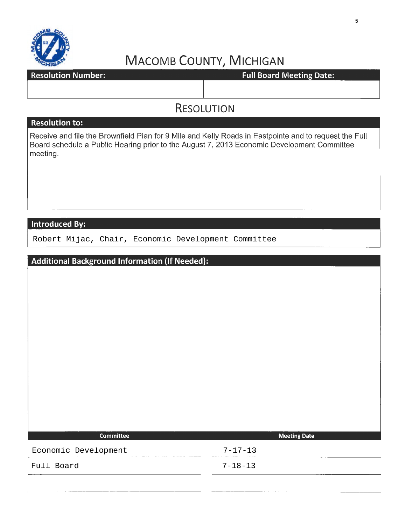

**Resolution Number:** 

**Full Board Meeting Date:** 

### **RESOLUTION**

#### **Resolution to:**

Receive and file the Brownfield Plan for 9 Mile and Kelly Roads in Eastpointe and to request the Full Board schedule a Public Hearing prior to the August 7, 2013 Economic Development Committee meeting.

### **Introduced By:**

Robert Mijac, Chair, Economic Development Committee

| <b>Additional Background Information (If Needed):</b> |               |                     |
|-------------------------------------------------------|---------------|---------------------|
|                                                       |               |                     |
|                                                       |               |                     |
|                                                       |               |                     |
|                                                       |               |                     |
|                                                       |               |                     |
|                                                       |               |                     |
|                                                       |               |                     |
|                                                       |               |                     |
|                                                       |               |                     |
|                                                       |               |                     |
|                                                       |               |                     |
|                                                       |               |                     |
| <b>Committee</b>                                      |               | <b>Meeting Date</b> |
| Economic Development                                  | $7 - 17 - 13$ |                     |
| Full Board                                            | $7 - 18 - 13$ |                     |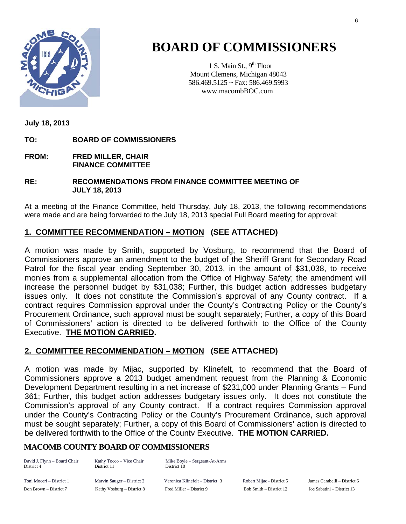

1 S. Main St.,  $9<sup>th</sup>$  Floor Mount Clemens, Michigan 48043 586.469.5125 ~ Fax: 586.469.5993 www.macombBOC.com

**July 18, 2013** 

**TO: BOARD OF COMMISSIONERS** 

**FROM: FRED MILLER, CHAIR FINANCE COMMITTEE** 

**RE: RECOMMENDATIONS FROM FINANCE COMMITTEE MEETING OF JULY 18, 2013** 

At a meeting of the Finance Committee, held Thursday, July 18, 2013, the following recommendations were made and are being forwarded to the July 18, 2013 special Full Board meeting for approval:

### **1. COMMITTEE RECOMMENDATION – MOTION (SEE ATTACHED)**

A motion was made by Smith, supported by Vosburg, to recommend that the Board of Commissioners approve an amendment to the budget of the Sheriff Grant for Secondary Road Patrol for the fiscal year ending September 30, 2013, in the amount of \$31,038, to receive monies from a supplemental allocation from the Office of Highway Safety; the amendment will increase the personnel budget by \$31,038; Further, this budget action addresses budgetary issues only. It does not constitute the Commission's approval of any County contract. If a contract requires Commission approval under the County's Contracting Policy or the County's Procurement Ordinance, such approval must be sought separately; Further, a copy of this Board of Commissioners' action is directed to be delivered forthwith to the Office of the County Executive. **THE MOTION CARRIED.** 

### **2. COMMITTEE RECOMMENDATION – MOTION (SEE ATTACHED)**

A motion was made by Mijac, supported by Klinefelt, to recommend that the Board of Commissioners approve a 2013 budget amendment request from the Planning & Economic Development Department resulting in a net increase of \$231,000 under Planning Grants – Fund 361; Further, this budget action addresses budgetary issues only. It does not constitute the Commission's approval of any County contract. If a contract requires Commission approval under the County's Contracting Policy or the County's Procurement Ordinance, such approval must be sought separately; Further, a copy of this Board of Commissioners' action is directed to be delivered forthwith to the Office of the County Executive. **THE MOTION CARRIED.**

### **MACOMB COUNTY BOARD OF COMMISSIONERS**

| David J. Flynn - Board Chair<br>District 4 | Kathy Tocco – Vice Chair<br>District 11 | Mike Boyle – Sergeant-At-Arms<br>District 10 |                      |
|--------------------------------------------|-----------------------------------------|----------------------------------------------|----------------------|
| Toni Moceri – District 1                   | Marvin Sauger – District 2              | Veronica Klinefelt – District 3              | Robert Mijac - Distr |
| Don Brown – District 7                     | Kathy Vosburg – District 8              | Fred Miller – District 9                     | Bob Smith - Distric  |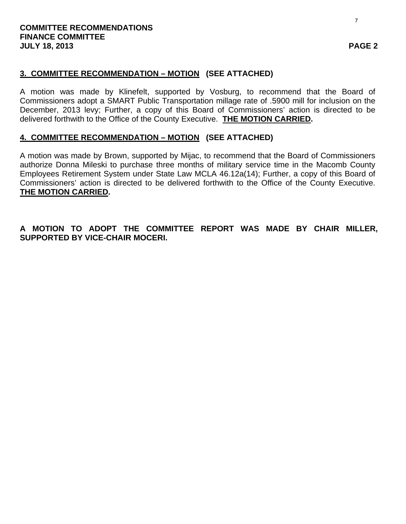### **3. COMMITTEE RECOMMENDATION – MOTION (SEE ATTACHED)**

A motion was made by Klinefelt, supported by Vosburg, to recommend that the Board of Commissioners adopt a SMART Public Transportation millage rate of .5900 mill for inclusion on the December, 2013 levy; Further, a copy of this Board of Commissioners' action is directed to be delivered forthwith to the Office of the County Executive. **THE MOTION CARRIED.** 

### **4. COMMITTEE RECOMMENDATION – MOTION (SEE ATTACHED)**

A motion was made by Brown, supported by Mijac, to recommend that the Board of Commissioners authorize Donna Mileski to purchase three months of military service time in the Macomb County Employees Retirement System under State Law MCLA 46.12a(14); Further, a copy of this Board of Commissioners' action is directed to be delivered forthwith to the Office of the County Executive. **THE MOTION CARRIED.** 

**A MOTION TO ADOPT THE COMMITTEE REPORT WAS MADE BY CHAIR MILLER, SUPPORTED BY VICE-CHAIR MOCERI.**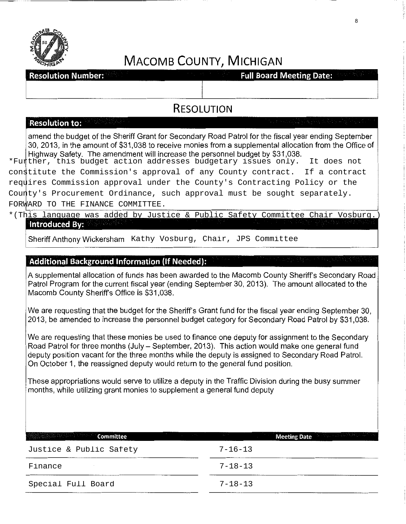

**Resolution Number:** 

**Full Board Meeting Date:** 

### **RESOLUTION**

#### **Resolution to:**

amend the budget of the Sheriff Grant for Secondary Road Patrol for the fiscal year ending September 30, 2013, in the amount of \$31,038 to receive monies from a supplemental allocation from the Office of Highway Safety. The amendment will increase the personnel budget by \$31,038.

\*Further, this budget action addresses budgetary issues only. It does not constitute the Commission's approval of any County contract. If a contract requires Commission approval under the County's Contracting Policy or the County's Procurement Ordinance, such approval must be sought separately. FORWARD TO THE FINANCE COMMITTEE.

#### \*(This language was added by Justice & Public Safety Committee Chair Vosburg.) **Introduced By:**

### **Additional Background Information (If Needed):**

A supplemental allocation of funds has been awarded to the Macomb County Sheriff's Secondary Road Patrol Program for the current fiscal year (ending September 30, 2013). The amount allocated to the Macomb County Sheriff's Office is \$31,038.

We are requesting that the budget for the Sheriff's Grant fund for the fiscal year ending September 30, 2013, be amended to increase the personnel budget category for Secondary Road Patrol by \$31,038.

We are requesting that these monies be used to finance one deputy for assignment to the Secondary Road Patrol for three months (July- September, 2013). This action would make one general fund deputy position vacant for the three months while the deputy is assigned to Secondary Road Patrol. On October 1, the reassigned deputy would return to the general fund position. Sheriff Anthony Wickersham Kathy Vosburg, Chair, JPS Committee<br> **Additional Background Information (if Needed):**<br>
A supplemental allocation of funds has been awarded to the Macomb County She<br>
Patrol Program for the current

These appropriations would serve to utilize a deputy in the Traffic Division during the busy summer months, while utilizing grant monies to supplement a general fund deputy

| <b>Committee</b>        | the problem of the control of the con-<br><b>Meeting Date</b> the shade and the second terms |
|-------------------------|----------------------------------------------------------------------------------------------|
| Justice & Public Safety | $7 - 16 - 13$                                                                                |
| Finance                 | $7 - 18 - 13$                                                                                |
| Special Full Board      | $7 - 18 - 13$                                                                                |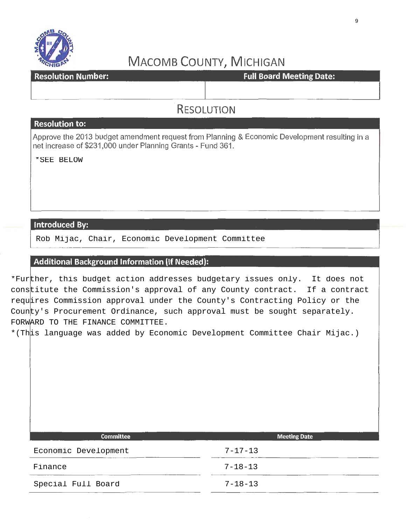

**Resolution Number:** 

**Full Board Meeting Date:** 

### RESOLUTION

#### Resolution to:

Approve the 2013 budget amendment request from Planning & Economic Development resulting in a net increase of \$231,000 under Planning Grants- Fund 361.

### Introduced By:

I Rob Mijac, Chair, Economic Development Committee \*SEE BELOW

### Additional Background Information (If Needed):

\*Further, this budget action addresses budgetary issues only. It does not constitute the Commission's approval of any County contract. If a contract requires Commission approval under the County's Contracting Policy or the County's Procurement Ordinance, such approval must be sought separately. FORWARD TO THE FINANCE COMMITTEE.

\*(This language was added by Economic Development Committee Chair Mijac.)

| <b>Committee</b>     | <b>Meeting Date</b> |
|----------------------|---------------------|
| Economic Development | $7 - 17 - 13$       |
| Finance              | $7 - 18 - 13$       |
| Special Full Board   | $7 - 18 - 13$       |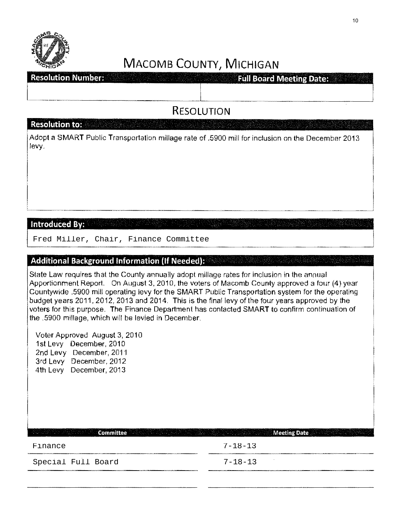

**Resolution Number: Full Board Meeting Date:** 

**RESOLUTION** 

### **Resolution to:**

<sup>1</sup>Adopt a SMART Public Transportation millage rate of .5900 mill for inclusion on the December 2013 levy.

### Introduced By:

Fred Miller, Chair, Finance Committee

### **Additional Background Information (If Needed):**

State Law requires that the County annually adopt millage rates for inclusion in the annual Apportionment Report. On August 3, 2010, the voters of Macomb County approved a four (4) year Countywide .5900 mill operating levy for the SMART Public Transportation system for the operating budget years 2011, 2012, 2013 and 2014. This is the final levy of the four years approved by the voters for this purpose. The Finance Department has contacted SMART to confirm continuation of the .5900 millage, which will be levied in December.

Voter Approved August 3, 2010 1st Levy December, 2010 2nd Levy December, 2011 3rd Levy December, 2012 4th Levy December, 2013

Committee Meeting Date Meeting Date Finance 7-18-13 Special Full Board 7-18-13